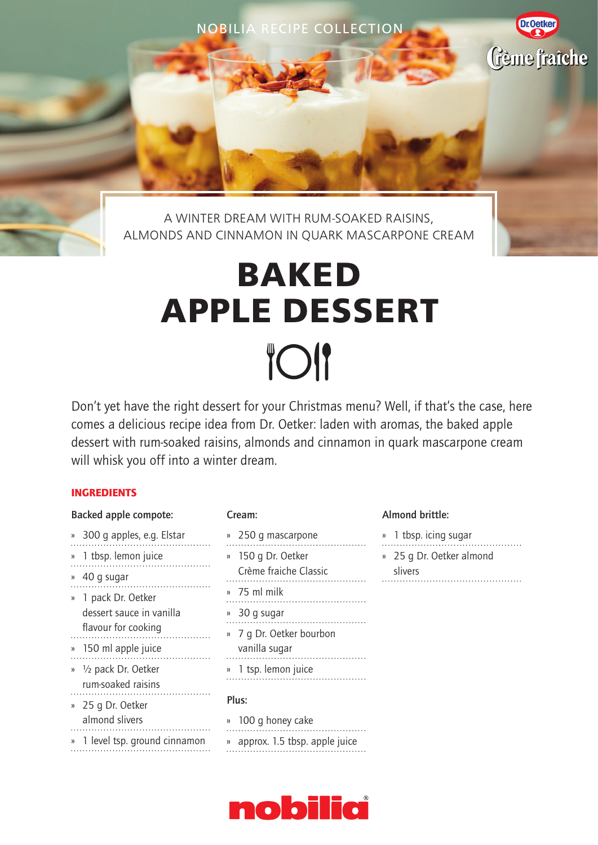NOBILIA RECIPE COLLECTION

A WINTER DREAM WITH RUM-SOAKED RAISINS, ALMONDS AND CINNAMON IN QUARK MASCARPONE CREAM

# **BAKED APPLE DESSERT TOI**

Don't yet have the right dessert for your Christmas menu? Well, if that's the case, here comes a delicious recipe idea from Dr. Oetker: laden with aromas, the baked apple dessert with rum-soaked raisins, almonds and cinnamon in quark mascarpone cream will whisk you off into a winter dream.

### INGREDIENTS

| <b>Backed apple compote:</b>                                                |
|-----------------------------------------------------------------------------|
| » 300 g apples, e.g. Elstar                                                 |
| » 1 tbsp. lemon juice<br>.<br>.                                             |
| » 40 g sugar<br>.                                                           |
| » 1 pack Dr. Oetker<br>dessert sauce in vanilla<br>flavour for cooking<br>. |
| » 150 ml apple juice<br>.                                                   |
| » 1/2 pack Dr. Oetker<br>rum-soaked raisins<br>.                            |
| » 25 q Dr. Oetker<br>almond slivers<br>.<br>» 1 level tsp. ground cinnamon  |
|                                                                             |

### Cream:

- » 250 g mascarpone » 1 tbsp. icing sugar » 150 g Dr. Oetker
- Crème fraiche Classic » 75 ml milk . . . . . . . . . . . . . . . . . » 30 g sugar » 7 g Dr. Oetker bourbon vanilla sugar
- » 1 tsp. lemon juice

### Plus:

» 100 g honey cake » approx. 1.5 tbsp. apple juice

#### Almond brittle:

- 
- » 25 g Dr. Oetker almond slivers

**Dr.Oetker** 

Gème fraîche